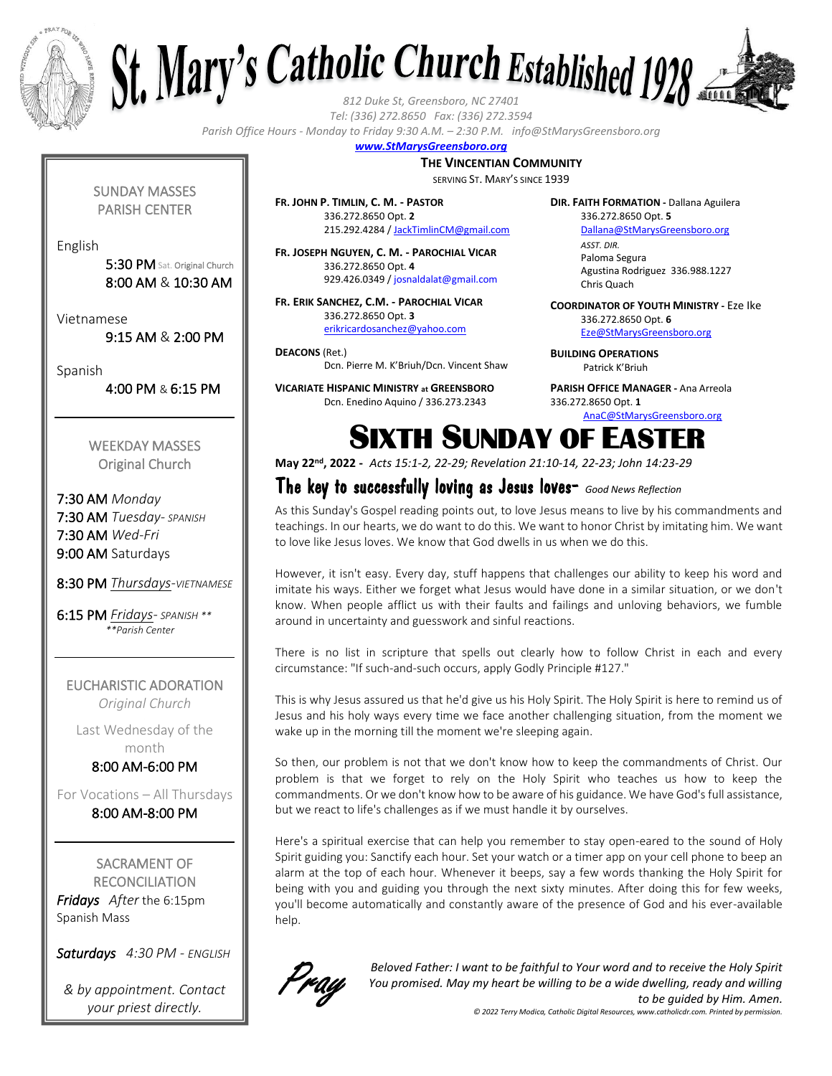



*Tel: (336) 272.8650 Fax: (336) 272.3594*

*Parish Office Hours - Monday to Friday 9:30 A.M. – 2:30 P.M. info@StMarysGreensboro.org*

#### *www.StMarysGreensboro.org*

#### **THE VINCENTIAN COMMUNITY**

SERVING ST. MARY'S SINCE 1939

SUNDAY MASSES PARISH CENTER

English

5:30 PM Sat. Original Church 8:00 AM & 10:30 AM

Vietnamese

9:15 AM & 2:00 PM

Spanish

4:00 PM & 6:15 PM

WEEKDAY MASSES Original Church

7:30 AM *Monday* 7:30 AM *Tuesday- SPANISH* 7:30 AM *Wed-Fri* 9:00 AM Saturdays

8:30 PM *Thursdays-VIETNAMESE*

6:15 PM *Fridays- SPANISH \*\* \*\*Parish Center*

EUCHARISTIC ADORATION *Original Church*

Last Wednesday of the month

8:00 AM-6:00 PM

For Vocations – All Thursdays 8:00 AM-8:00 PM

SACRAMENT OF **RECONCILIATION** *Fridays After* the 6:15pm Spanish Mass

*Saturdays 4:30 PM - ENGLISH*

*& by appointment. Contact your priest directly.*

**FR. JOHN P. TIMLIN, C. M. - PASTOR** 336.272.8650 Opt. **2** 215.292.4284 / JackTimlinCM@gmail.com

**FR. JOSEPH NGUYEN, C. M. - PAROCHIAL VICAR** 336.272.8650 Opt. **4** 929.426.0349 / josnaldalat@gmail.com

**FR. ERIK SANCHEZ, C.M. - PAROCHIAL VICAR** 336.272.8650 Opt. **3** erikricardosanchez@yahoo.com

**DEACONS** (Ret.) Dcn. Pierre M. K'Briuh/Dcn. Vincent Shaw

**VICARIATE HISPANIC MINISTRY at GREENSBORO** Dcn. Enedino Aquino / 336.273.2343

**DIR. FAITH FORMATION -** Dallana Aguilera 336.272.8650 Opt. **5**

> Dallana@StMarysGreensboro.org *ASST. DIR.* Paloma Segura Agustina Rodriguez 336.988.1227 Chris Quach

**COORDINATOR OF YOUTH MINISTRY -** Eze Ike 336.272.8650 Opt. **6** Eze@StMarysGreensboro.org

**BUILDING OPERATIONS**  Patrick K'Briuh

**PARISH OFFICE MANAGER -** Ana Arreola 336.272.8650 Opt. **1** AnaC@StMarysGreensboro.org

# SIXTH SUNDAY OF EASTER

**May 22nd, 2022 -** *Acts 15:1-2, 22-29; Revelation 21:10-14, 22-23; John 14:23-29*

### The key to successfully loving as Jesus loves- *Good News Reflection*

As this Sunday's Gospel reading points out, to love Jesus means to live by his commandments and teachings. In our hearts, we do want to do this. We want to honor Christ by imitating him. We want to love like Jesus loves. We know that God dwells in us when we do this.

However, it isn't easy. Every day, stuff happens that challenges our ability to keep his word and imitate his ways. Either we forget what Jesus would have done in a similar situation, or we don't know. When people afflict us with their faults and failings and unloving behaviors, we fumble around in uncertainty and guesswork and sinful reactions.

There is no list in scripture that spells out clearly how to follow Christ in each and every circumstance: "If such-and-such occurs, apply Godly Principle #127."

This is why Jesus assured us that he'd give us his Holy Spirit. The Holy Spirit is here to remind us of Jesus and his holy ways every time we face another challenging situation, from the moment we wake up in the morning till the moment we're sleeping again.

So then, our problem is not that we don't know how to keep the commandments of Christ. Our problem is that we forget to rely on the Holy Spirit who teaches us how to keep the commandments. Or we don't know how to be aware of his guidance. We have God's full assistance, but we react to life's challenges as if we must handle it by ourselves.

Here's a spiritual exercise that can help you remember to stay open-eared to the sound of Holy Spirit guiding you: Sanctify each hour. Set your watch or a timer app on your cell phone to beep an alarm at the top of each hour. Whenever it beeps, say a few words thanking the Holy Spirit for being with you and guiding you through the next sixty minutes. After doing this for few weeks, you'll become automatically and constantly aware of the presence of God and his ever-available help.



*Beloved Father: I want to be faithful to Your word and to receive the Holy Spirit You promised. May my heart be willing to be a wide dwelling, ready and willing to be guided by Him. Amen.*

*© 2022 Terry Modica, Catholic Digital Resources, www.catholicdr.com. Printed by permission.*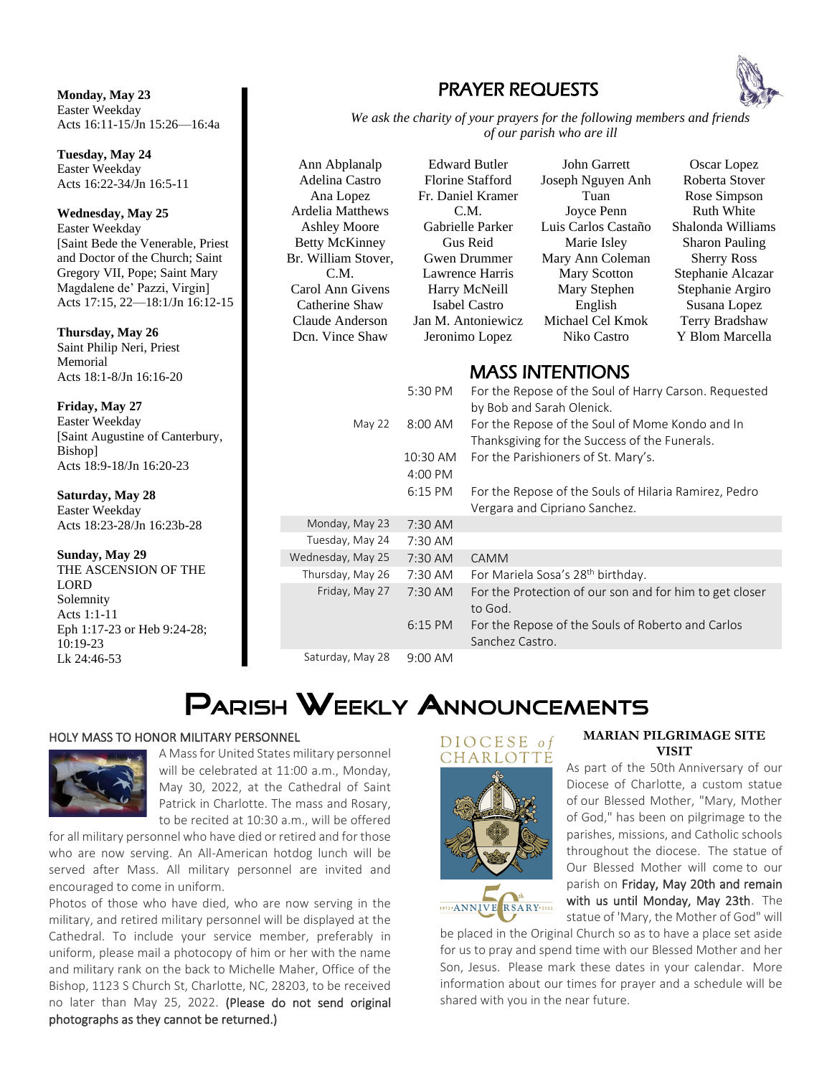**Monday, May 23** Easter Weekday Acts 16:11-15/Jn 15:26—16:4a

**Tuesday, May 24** Easter Weekday Acts 16:22-34/Jn 16:5-11

**Wednesday, May 25** Easter Weekday [Saint Bede the Venerable, Priest and Doctor of the Church; Saint Gregory VII, Pope; Saint Mary Magdalene de' Pazzi, Virgin] Acts 17:15, 22—18:1/Jn 16:12-15

**Thursday, May 26** Saint Philip Neri, Priest Memorial Acts 18:1-8/Jn 16:16-20

**Friday, May 27** Easter Weekday [Saint Augustine of Canterbury, 1976] Bishop] Acts 18:9-18/Jn 16:20-23

**Saturday, May 28** Easter Weekday Acts 18:23-28/Jn 16:23b-28

#### **Sunday, May 29**

THE ASCENSION OF THE LORD Solemnity Acts 1:1-11 Eph 1:17-23 or Heb 9:24-28;  $10:19-23$ Lk 24:46-53

### PRAYER REQUESTS



Ann Abplanalp Adelina Castro Ana Lopez Ardelia Matthews Ashley Moore Betty McKinney Br. William Stover, C.M. Carol Ann Givens Catherine Shaw Claude Anderson Dcn. Vince Shaw



John Garrett Joseph Nguyen Anh Tuan Joyce Penn Luis Carlos Castaño Marie Isley Mary Ann Coleman Mary Scotton Mary Stephen English Michael Cel Kmok Niko Castro

Oscar Lopez Roberta Stover Rose Simpson Ruth White Shalonda Williams Sharon Pauling Sherry Ross Stephanie Alcazar Stephanie Argiro Susana Lopez Terry Bradshaw Y Blom Marcella

### MASS INTENTIONS

|       |                   | 5:30 PM               | For the Repose of the Soul of Harry Carson. Requested<br>by Bob and Sarah Olenick.               |
|-------|-------------------|-----------------------|--------------------------------------------------------------------------------------------------|
| oury, | May 22            | 8:00 AM               | For the Repose of the Soul of Mome Kondo and In<br>Thanksgiving for the Success of the Funerals. |
|       |                   | 10:30 AM<br>$4:00$ PM | For the Parishioners of St. Mary's.                                                              |
|       |                   | 6:15 PM               | For the Repose of the Souls of Hilaria Ramirez, Pedro<br>Vergara and Cipriano Sanchez.           |
|       | Monday, May 23    | $7:30$ AM             |                                                                                                  |
|       | Tuesday, May 24   | 7:30 AM               |                                                                                                  |
|       | Wednesday, May 25 | 7:30 AM               | <b>CAMM</b>                                                                                      |
| E     | Thursday, May 26  | 7:30 AM               | For Mariela Sosa's 28 <sup>th</sup> birthday.                                                    |
|       | Friday, May 27    | 7:30 AM               | For the Protection of our son and for him to get closer<br>to God.                               |
| 8:    |                   | $6:15$ PM             | For the Repose of the Souls of Roberto and Carlos<br>Sanchez Castro.                             |
|       | Saturday, May 28  | $9:00$ AM             |                                                                                                  |

## PARISH WEEKLY ANNOUNCEMENTS

#### HOLY MASS TO HONOR MILITARY PERSONNEL



A Mass for United States military personnel will be celebrated at 11:00 a.m., Monday, May 30, 2022, at the Cathedral of Saint Patrick in Charlotte. The mass and Rosary, to be recited at 10:30 a.m., will be offered

for all military personnel who have died or retired and for those who are now serving. An All-American hotdog lunch will be served after Mass. All military personnel are invited and encouraged to come in uniform.

Photos of those who have died, who are now serving in the military, and retired military personnel will be displayed at the Cathedral. To include your service member, preferably in uniform, please mail a photocopy of him or her with the name and military rank on the back to Michelle Maher, Office of the Bishop, 1123 S Church St, Charlotte, NC, 28203, to be received no later than May 25, 2022. (Please do not send original photographs as they cannot be returned.)

#### DIOCESE of CHARLOTTE





#### **MARIAN PILGRIMAGE SITE VISIT**

As part of the 50th Anniversary of our Diocese of Charlotte, a custom statue of our Blessed Mother, "Mary, Mother of God," has been on pilgrimage to the parishes, missions, and Catholic schools throughout the diocese. The statue of Our Blessed Mother will come to our parish on Friday, May 20th and remain with us until Monday, May 23th. The statue of 'Mary, the Mother of God" will

be placed in the Original Church so as to have a place set aside for us to pray and spend time with our Blessed Mother and her Son, Jesus. Please mark these dates in your calendar. More information about our times for prayer and a schedule will be shared with you in the near future.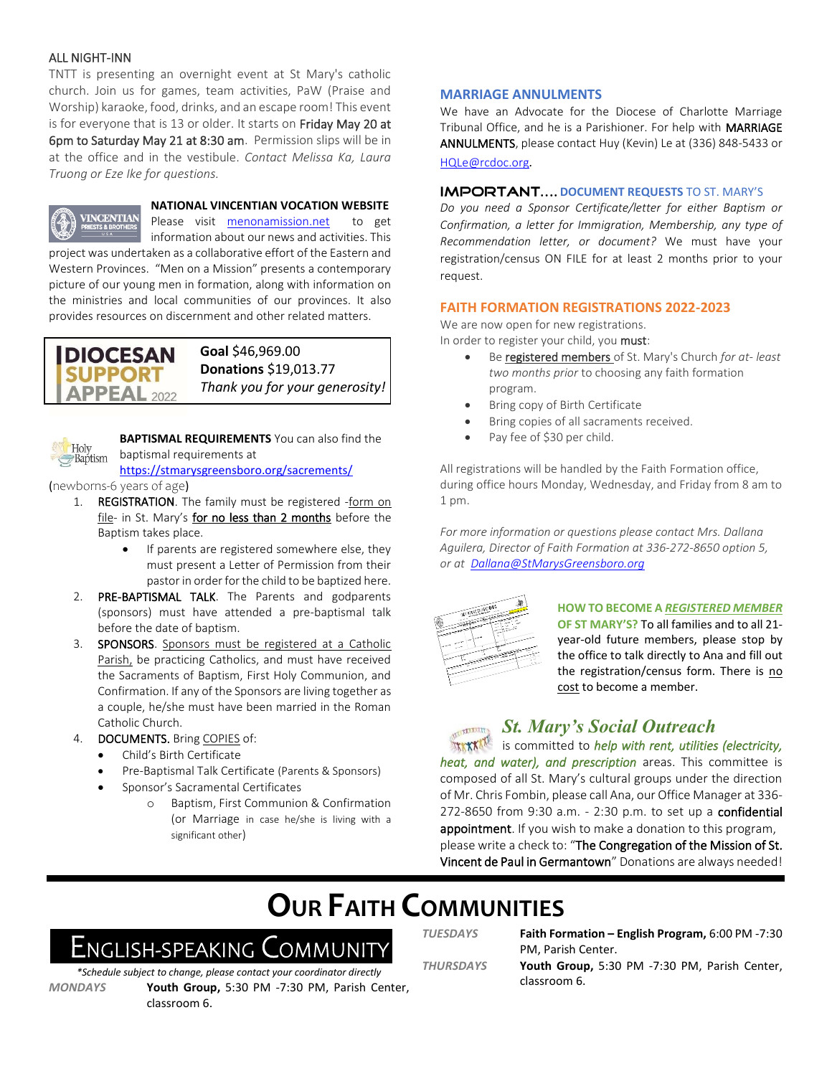#### ALL NIGHT-INN

TNTT is presenting an overnight event at St Mary's catholic church. Join us for games, team activities, PaW (Praise and Worship) karaoke, food, drinks, and an escape room! This event is for everyone that is 13 or older. It starts on Friday May 20 at 6pm to Saturday May 21 at 8:30 am. Permission slips will be in at the office and in the vestibule. *Contact Melissa Ka, Laura Truong or Eze Ike for questions.*



**NATIONAL VINCENTIAN VOCATION WEBSITE**

Please visit menonamission.net to get

information about our news and activities. This project was undertaken as a collaborative effort of the Eastern and Western Provinces. "Men on a Mission" presents a contemporary picture of our young men in formation, along with information on the ministries and local communities of our provinces. It also provides resources on discernment and other related matters.

### **DIOCESAN SUPPORT APPEAL** 2022

#### **Goal** \$46,969.00 **Donations** \$19,013.77 *Thank you for your generosity!*



**BAPTISMAL REQUIREMENTS** You can also find the baptismal requirements at

https://stmarysgreensboro.org/sacrements/

(newborns-6 years of age)

- 1. REGISTRATION. The family must be registered -form on file- in St. Mary's for no less than 2 months before the Baptism takes place.
	- If parents are registered somewhere else, they must present a Letter of Permission from their pastor in order for the child to be baptized here.
- 2. PRE-BAPTISMAL TALK. The Parents and godparents (sponsors) must have attended a pre-baptismal talk before the date of baptism.
- 3. SPONSORS. Sponsors must be registered at a Catholic Parish, be practicing Catholics, and must have received the Sacraments of Baptism, First Holy Communion, and Confirmation. If any of the Sponsors are living together as a couple, he/she must have been married in the Roman Catholic Church.
- 4. DOCUMENTS. Bring COPIES of:
	- Child's Birth Certificate
	- Pre-Baptismal Talk Certificate (Parents & Sponsors)
	- Sponsor's Sacramental Certificates
		- o Baptism, First Communion & Confirmation (or Marriage in case he/she is living with a significant other)

#### **MARRIAGE ANNULMENTS**

We have an Advocate for the Diocese of Charlotte Marriage Tribunal Office, and he is a Parishioner. For help with MARRIAGE ANNULMENTS, please contact Huy (Kevin) Le at (336) 848-5433 or HQLe@rcdoc.org*.*

#### **IMPORTANT.... DOCUMENT REQUESTS TO ST. MARY'S**

*Do you need a Sponsor Certificate/letter for either Baptism or Confirmation, a letter for Immigration, Membership, any type of Recommendation letter, or document?* We must have your registration/census ON FILE for at least 2 months prior to your request.

#### **FAITH FORMATION REGISTRATIONS 2022-2023**

We are now open for new registrations. In order to register your child, you must:

- Be registered members of St. Mary's Church *for at- least two months prior* to choosing any faith formation program.
- Bring copy of Birth Certificate
- Bring copies of all sacraments received.
- Pay fee of \$30 per child.

All registrations will be handled by the Faith Formation office, during office hours Monday, Wednesday, and Friday from 8 am to 1 pm.

*For more information or questions please contact Mrs. Dallana Aguilera, Director of Faith Formation at 336-272-8650 option 5, or at Dallana@StMarysGreensboro.org*



#### **HOW TO BECOME A** *REGISTERED MEMBER*

**OF ST MARY'S?** To all families and to all 21 year-old future members, please stop by the office to talk directly to Ana and fill out the registration/census form. There is no cost to become a member.

### *St. Mary's Social Outreach*

*IN EXAMPLE 15 committed to help with rent, utilities (electricity, heat, and water), and prescription* areas. This committee is composed of all St. Mary's cultural groups under the direction of Mr. Chris Fombin, please call Ana, our Office Manager at 336- 272-8650 from 9:30 a.m. - 2:30 p.m. to set up a confidential appointment. If you wish to make a donation to this program, please write a check to: "The Congregation of the Mission of St. Vincent de Paul in Germantown" Donations are always needed!

## **OUR FAITH COMMUNITIES**

## English-speaking Communit

*\*Schedule subject to change, please contact your coordinator directly MONDAYS* **Youth Group,** 5:30 PM -7:30 PM, Parish Center, classroom 6.

*TUESDAYS* **Faith Formation – English Program,** 6:00 PM -7:30

PM, Parish Center. *THURSDAYS* **Youth Group,** 5:30 PM -7:30 PM, Parish Center, classroom 6.